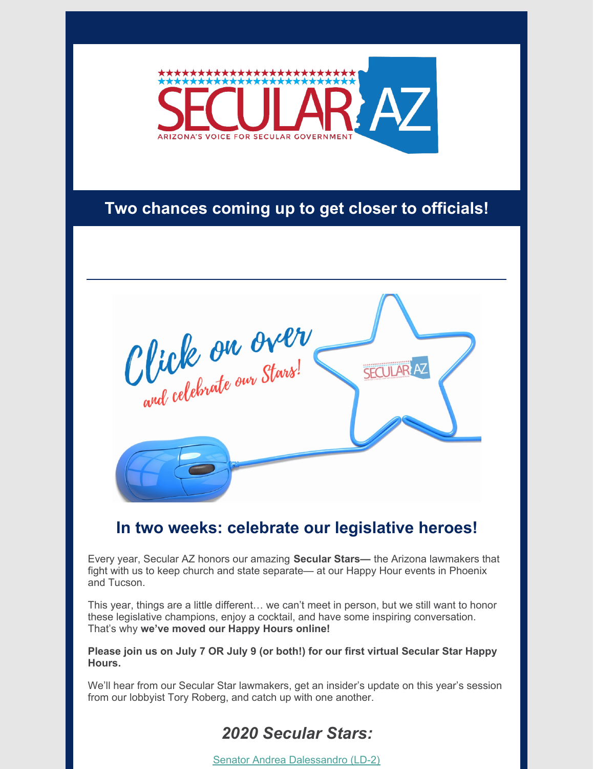

## **Two chances coming up to get closer to officials!**

Click on Orer

## **In two weeks: celebrate our legislative heroes!**

Every year, Secular AZ honors our amazing **Secular Stars—** the Arizona lawmakers that fight with us to keep church and state separate— at our Happy Hour events in Phoenix and Tucson.

This year, things are a little different… we can't meet in person, but we still want to honor these legislative champions, enjoy a cocktail, and have some inspiring conversation. That's why **we've moved our Happy Hours online!**

**Please join us on July 7 OR July 9 (or both!) for our first virtual Secular Star Happy Hours.**

We'll hear from our Secular Star lawmakers, get an insider's update on this year's session from our lobbyist Tory Roberg, and catch up with one another.

# *2020 Secular Stars:*

Senator Andrea [Dalessandro](https://www.azleg.gov/Senate/Senate-member/?legislature=54&session=122&legislator=1918) (LD-2)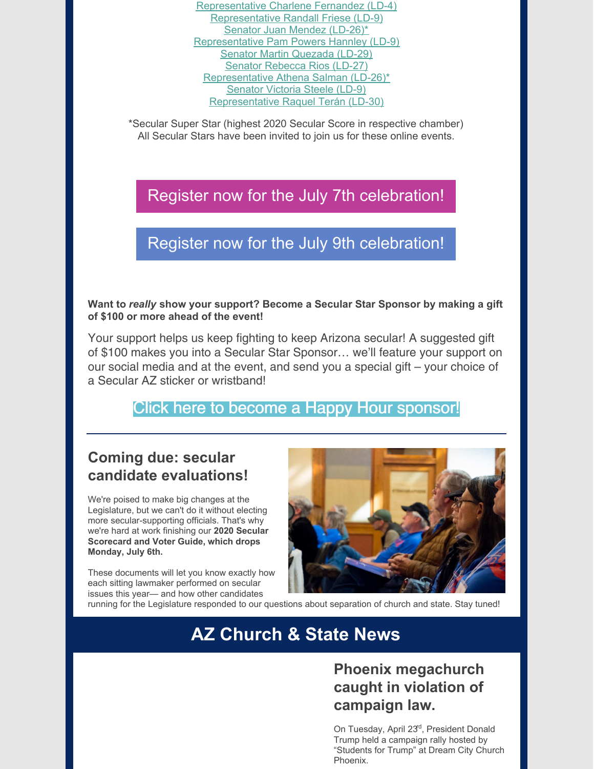[Representative](https://www.azleg.gov/House/House-member/?legislature=54&session=122&legislator=1864) Charlene Fernandez (LD-4) [Representative](https://www.azleg.gov/House/House-member/?legislature=54&session=122&legislator=1866) Randall Friese (LD-9) Senator Juan Mendez [\(LD-26\)\\*](https://www.azleg.gov/Senate/Senate-member/?legislature=54&session=122&legislator=1942) [Representative](https://www.azleg.gov/House/House-member/?legislature=54&session=122&legislator=1877) Pam Powers Hannley (LD-9) Senator Martin [Quezada](https://www.azleg.gov/Senate/Senate-member/?legislature=54&session=122&legislator=1945) (LD-29) Senator [Rebecca](https://www.azleg.gov/Senate/Senate-member/?legislature=54&session=122&legislator=1943) Rios (LD-27) [Representative](https://www.azleg.gov/House/House-member/?legislature=54&session=122&legislator=1885) Athena Salman (LD-26)\* [Senator](https://www.azleg.gov/Senate/Senate-member/?legislature=54&session=122&legislator=1925) Victoria Steele (LD-9) [Representative](https://www.azleg.gov/House/House-member/?legislature=54&session=122&legislator=1911) Raquel Terán (LD-30)

\*Secular Super Star (highest 2020 Secular Score in respective chamber) All Secular Stars have been invited to join us for these online events.

Register now for the July 7th [celebration!](https://us02web.zoom.us/meeting/register/tZcvd-qvrz0qHdOpTb66572o9IiLAiHhN4ro)

Register now for the July 9th [celebration!](https://us02web.zoom.us/meeting/register/tZYtc-morTkoHdTyIQePyDsOxMWHrOLtrs4y)

**Want to** *really* **show your support? Become a Secular Star Sponsor by making a gift of \$100 or more ahead of the event!**

Your support helps us keep fighting to keep Arizona secular! A suggested gift of \$100 makes you into a Secular Star Sponsor… we'll feature your support on our social media and at the event, and send you a special gift – your choice of a Secular AZ sticker or wristband!

Click here to become a Happy Hour [sponsor!](https://secularaz.org/product/secular-star-happy-hour-host/)

#### **Coming due: secular candidate evaluations!**

We're poised to make big changes at the Legislature, but we can't do it without electing more secular-supporting officials. That's why we're hard at work finishing our **2020 Secular Scorecard and Voter Guide, which drops Monday, July 6th.**

These documents will let you know exactly how each sitting lawmaker performed on secular issues this year— and how other candidates



running for the Legislature responded to our questions about separation of church and state. Stay tuned!

# **AZ Church & State News**

#### **Phoenix megachurch caught in violation of campaign law.**

On Tuesday, April 23<sup>rd</sup>, President Donald Trump held a campaign rally hosted by "Students for Trump" at Dream City Church Phoenix.